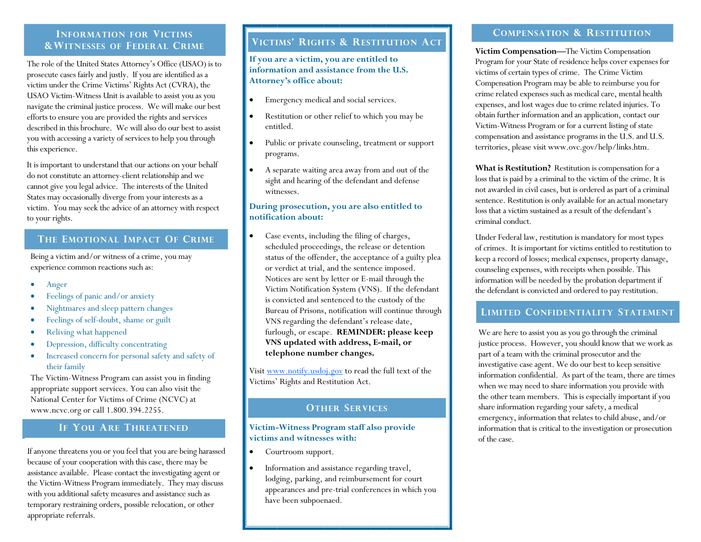## **INFORMATION FOR VICTIMS &WITNESSES OF FEDERAL CRIME**

The role of the United States Attorney's Office (USAO) is to prosecute cases fairly and justly. If you are identified as a victim under the Crime Victims' Rights Act (CVRA), the USAO Victim-Witness Unit is available to assist you as you navigate the criminal justice process. We will make our best efforts to ensure you are provided the rights and services described in this brochure. We will also do our best to assist you with accessing a variety of services to help you through this experience.

It is important to understand that our actions on your behalf do not constitute an attorney-client relationship and we cannot give you legal advice. The interests of the United States may occasionally diverge from your interests as a victim. You may seek the advice of an attorney with respect to your rights.

## **THE EMOTIONAL IMPACT O F CRIME**

Being a victim and/or witness of a crime, you may experience common reactions such as:

- $\bullet$ Anger
- $\bullet$ Feelings of panic and/or anxiety
- $\bullet$ Nightmares and sleep pattern changes
- $\bullet$ Feelings of self-doubt, shame or guilt
- $\bullet$ Reliving what happened
- $\bullet$ Depression, difficulty concentrating
- $\bullet$  Increased concern for personal safety and safety of their family

The Victim-Witness Program can assist you in finding appropriate support services. You can also visit the National Center for Victims of Crime (NCVC) at www.ncvc.org or call 1.800.394.2255.

## **IF YOU ARE THREATENED**

If anyone threatens you or you feel that you are being harassed because of your cooperation with this case, there may be assistance available. Please contact the investigating agent or the Victim-Witness Program immediately. They may discuss with you additional safety measures and assistance such as temporary restraining orders, possible relocation, or other appropriate referrals.

## **VICTIMS' RIGHTS & RESTITUTION ACT**

**If you are a victim, you are entitled to information and assistance from the U.S. Attorney's office about:** 

- . Emergency medical and social services.
- $\bullet$  Restitution or other relief to which you may be entitled.
- $\bullet$  Public or private counseling, treatment or support programs.
- . A separate waiting area away from and out of the sight and hearing of the defendant and defense witnesses.

#### **During prosecution, you are also entitled to notification about:**

 $\bullet$  Case events, including the filing of charges, scheduled proceedings, the release or detention status of the offender, the acceptance of a guilty plea or verdict at trial, and the sentence imposed. Notices are sent by letter or E-mail through the Victim Notification System (VNS). If the defendant is convicted and sentenced to the custody of the Bureau of Prisons, notification will continue through VNS regarding the defendant's release date, furlough, or escape. **REMINDER: please keep VNS updated with address, E-mail, or telephone number changes.**

Visit [www.notify.usdoj.gov](https://www.notify.usdoj.gov/InvestigativeVictimRights.pdf) to read the full text of the Victims' Rights and Restitution Act.

## **OTHER SERVICES**

#### **Victim-Witness Program staff also provide victims and witnesses with:**

- $\bullet$ Courtroom support.
- $\bullet$  Information and assistance regarding travel, lodging, parking, and reimbursement for court appearances and pre-trial conferences in which you have been subpoenaed.

## **COMPENSATION & RESTITUTION**

**Victim Compensation—**The Victim Compensation Program for your State of residence helps cover expenses for victims of certain types of crime. The Crime Victim Compensation Program may be able to reimburse you for crime related expenses such as medical care, mental health expenses, and lost wages due to crime related injuries. To obtain further information and an application, contact our Victim-Witness Program or for a current listing of state compensation and assistance programs in the U.S. and U.S. territories, please visit www.ovc.gov/help/links.htm.

**What is Restitution?** Restitution is compensation for a loss that is paid by a criminal to the victim of the crime. It is not awarded in civil cases, but is ordered as part of a criminal sentence. Restitution is only available for an actual monetary loss that a victim sustained as a result of the defendant's criminal conduct.

Under Federal law, restitution is mandatory for most types of crimes. It is important for victims entitled to restitution to keep a record of losses; medical expenses, property damage, counseling expenses, with receipts when possible. This information will be needed by the probation department if the defendant is convicted and ordered to pay restitution.

## **LIMITED CONFIDENTIALITY STATEMENT**

We are here to assist you as you go through the criminal justice process. However, you should know that we work as part of a team with the criminal prosecutor and the investigative case agent. We do our best to keep sensitive information confidential. As part of the team, there are times when we may need to share information you provide with the other team members. This is especially important if you share information regarding your safety, a medical emergency, information that relates to child abuse, and/or information that is critical to the investigation or prosecution of the case.